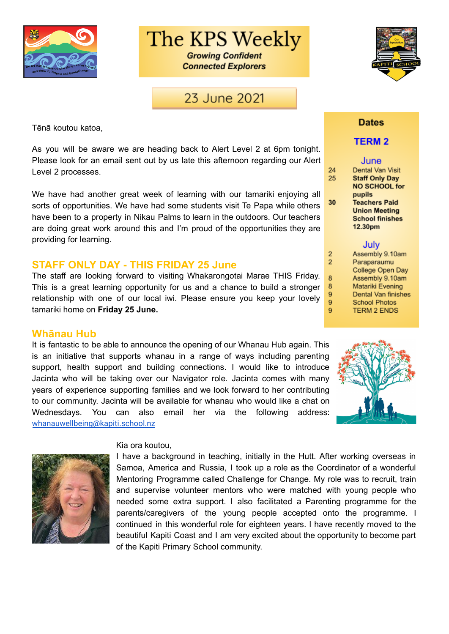

The KPS Weekly

**Growing Confident Connected Explorers** 

## 23 June 2021

Tēnā koutou katoa,

As you will be aware we are heading back to Alert Level 2 at 6pm tonight. Please look for an email sent out by us late this afternoon regarding our Alert Level 2 processes.

We have had another great week of learning with our tamariki enjoying all sorts of opportunities. We have had some students visit Te Papa while others have been to a property in Nikau Palms to learn in the outdoors. Our teachers are doing great work around this and I'm proud of the opportunities they are providing for learning.

#### **STAFF ONLY DAY - THIS FRIDAY 25 June**

The staff are looking forward to visiting Whakarongotai Marae THIS Friday. This is a great learning opportunity for us and a chance to build a stronger relationship with one of our local iwi. Please ensure you keep your lovely tamariki home on **Friday 25 June.**

#### **Whānau Hub**

It is fantastic to be able to announce the opening of our Whanau Hub again. This is an initiative that supports whanau in a range of ways including parenting support, health support and building connections. I would like to introduce Jacinta who will be taking over our Navigator role. Jacinta comes with many years of experience supporting families and we look forward to her contributing to our community. Jacinta will be available for whanau who would like a chat on Wednesdays. You can also email her via the following address: [whanauwellbeing@kapiti.school.nz](mailto:whanauwellbeing@kapiti.school.nz)



#### Kia ora koutou,

I have a background in teaching, initially in the Hutt. After working overseas in Samoa, America and Russia, I took up a role as the Coordinator of a wonderful Mentoring Programme called Challenge for Change. My role was to recruit, train and supervise volunteer mentors who were matched with young people who needed some extra support. I also facilitated a Parenting programme for the parents/caregivers of the young people accepted onto the programme. I continued in this wonderful role for eighteen years. I have recently moved to the beautiful Kapiti Coast and I am very excited about the opportunity to become part of the Kapiti Primary School community.



#### **Dates**

#### **TERM 2**

#### June

24 25

30

 $\overline{2}$  $\overline{2}$ 

8

8

9 9

 $9$ 

| Dental Van Visit       |
|------------------------|
| <b>Staff Only Day</b>  |
| <b>NO SCHOOL for</b>   |
| pupils                 |
| <b>Teachers Paid</b>   |
| <b>Union Meeting</b>   |
| <b>School finishes</b> |
| 12.30pm                |
|                        |

#### July

Assembly 9.10am Paraparaumu College Open Day Assembly 9.10am Matariki Evening Dental Van finishes **School Photos TERM 2 ENDS** 

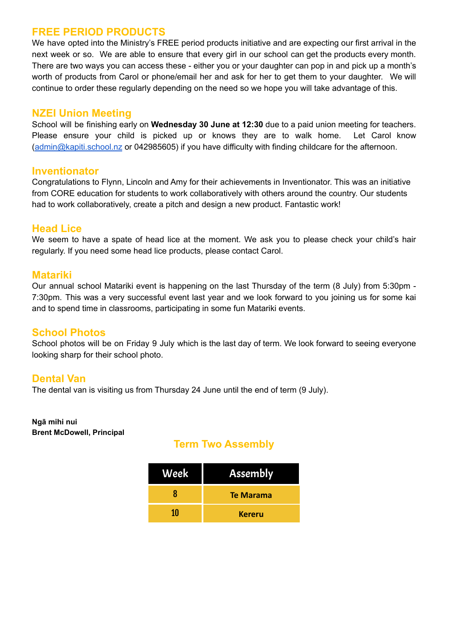## **FREE PERIOD PRODUCTS**

We have opted into the Ministry's FREE period products initiative and are expecting our first arrival in the next week or so. We are able to ensure that every girl in our school can get the products every month. There are two ways you can access these - either you or your daughter can pop in and pick up a month's worth of products from Carol or phone/email her and ask for her to get them to your daughter. We will continue to order these regularly depending on the need so we hope you will take advantage of this.

### **NZEI Union Meeting**

School will be finishing early on **Wednesday 30 June at 12:30** due to a paid union meeting for teachers. Please ensure your child is picked up or knows they are to walk home. Let Carol know [\(admin@kapiti.school.nz](mailto:admin@kapiti.school.nz) or 042985605) if you have difficulty with finding childcare for the afternoon.

### **Inventionator**

Congratulations to Flynn, Lincoln and Amy for their achievements in Inventionator. This was an initiative from CORE education for students to work collaboratively with others around the country. Our students had to work collaboratively, create a pitch and design a new product. Fantastic work!

### **Head Lice**

We seem to have a spate of head lice at the moment. We ask you to please check your child's hair regularly. If you need some head lice products, please contact Carol.

### **Matariki**

Our annual school Matariki event is happening on the last Thursday of the term (8 July) from 5:30pm - 7:30pm. This was a very successful event last year and we look forward to you joining us for some kai and to spend time in classrooms, participating in some fun Matariki events.

### **School Photos**

School photos will be on Friday 9 July which is the last day of term. We look forward to seeing everyone looking sharp for their school photo.

### **Dental Van**

The dental van is visiting us from Thursday 24 June until the end of term (9 July).

#### **Ngā mihi nui Brent McDowell, Principal**

## **Term Two Assembly**

| Week | <b>Assembly</b> |
|------|-----------------|
| R    | Te Marama       |
| 10   | <b>Kereru</b>   |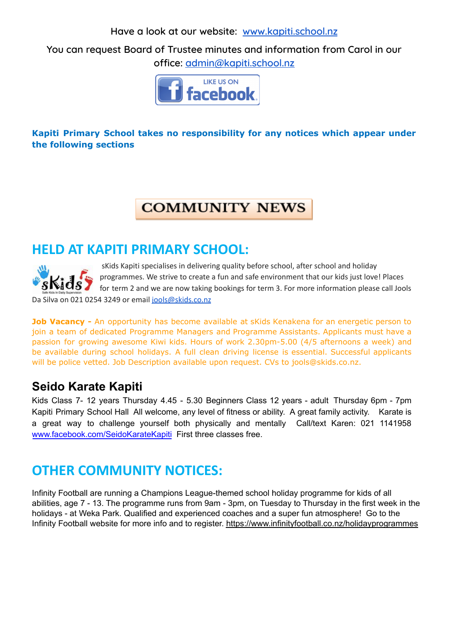**Have a look at our website: [www.kapiti.school.nz](http://www.kapiti.school.nz)**

**You can request Board of Trustee minutes and information from Carol in our office: [admin@kapiti.school.nz](mailto:admin@kapiti.school.mz)**



## **Kapiti Primary School takes no responsibility for any notices which appear under the following sections**

## **COMMUNITY NEWS**

## **HELD AT KAPITI PRIMARY SCHOOL:**



sKids Kapiti specialises in delivering quality before school, after school and holiday programmes. We strive to create a fun and safe environment that our kids just love! Places for term 2 and we are now taking bookings for term 3. For more information please call Jools Da Silva on 021 0254 3249 or email [jools@skids.co.nz](mailto:jools@skids.co.nz)

**Job Vacancy -** An opportunity has become available at sKids Kenakena for an energetic person to join a team of dedicated Programme Managers and Programme Assistants. Applicants must have a passion for growing awesome Kiwi kids. Hours of work 2.30pm-5.00 (4/5 afternoons a week) and be available during school holidays. A full clean driving license is essential. Successful applicants will be police vetted. Job Description available upon request. CVs to jools@skids.co.nz.

## **Seido Karate Kapiti**

Kids Class 7- 12 years Thursday 4.45 - 5.30 Beginners Class 12 years - adult Thursday 6pm - 7pm Kapiti Primary School Hall All welcome, any level of fitness or ability. A great family activity. Karate is a great way to challenge yourself both physically and mentally Call/text Karen: 021 1141958 [www.facebook.com/SeidoKarateKapiti](http://www.facebook.com/SeidoKarateKapiti) First three classes free.

# **OTHER COMMUNITY NOTICES:**

Infinity Football are running a Champions League-themed school holiday programme for kids of all abilities, age 7 - 13. The programme runs from 9am - 3pm, on Tuesday to Thursday in the first week in the holidays - at Weka Park. Qualified and experienced coaches and a super fun atmosphere! Go to the Infinity Football website for more info and to register. <https://www.infinityfootball.co.nz/holidayprogrammes>